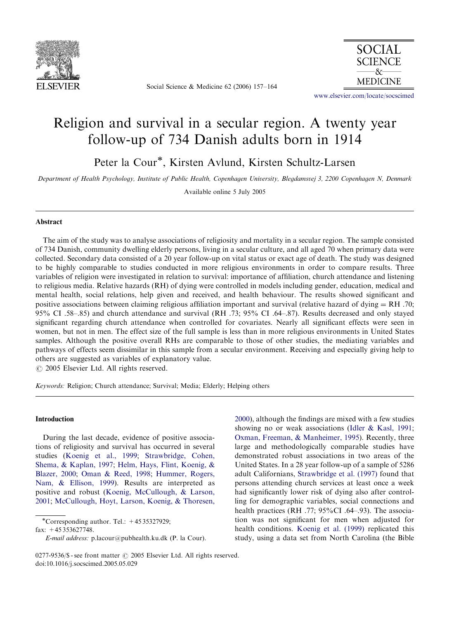

Social Science & Medicine 62 (2006) 157–164



<www.elsevier.com/locate/socscimed>

# Religion and survival in a secular region. A twenty year follow-up of 734 Danish adults born in 1914

Peter la Cour\*, Kirsten Avlund, Kirsten Schultz-Larsen

Department of Health Psychology, Institute of Public Health, Copenhagen University, Blegdamsvej 3, 2200 Copenhagen N, Denmark

Available online 5 July 2005

## Abstract

The aim of the study was to analyse associations of religiosity and mortality in a secular region. The sample consisted of 734 Danish, community dwelling elderly persons, living in a secular culture, and all aged 70 when primary data were collected. Secondary data consisted of a 20 year follow-up on vital status or exact age of death. The study was designed to be highly comparable to studies conducted in more religious environments in order to compare results. Three variables of religion were investigated in relation to survival: importance of affiliation, church attendance and listening to religious media. Relative hazards (RH) of dying were controlled in models including gender, education, medical and mental health, social relations, help given and received, and health behaviour. The results showed significant and positive associations between claiming religious affiliation important and survival (relative hazard of dying  $= RH$  .70; 95% CI .58–.85) and church attendance and survival (RH .73; 95% CI .64–.87). Results decreased and only stayed significant regarding church attendance when controlled for covariates. Nearly all significant effects were seen in women, but not in men. The effect size of the full sample is less than in more religious environments in United States samples. Although the positive overall RHs are comparable to those of other studies, the mediating variables and pathways of effects seem dissimilar in this sample from a secular environment. Receiving and especially giving help to others are suggested as variables of explanatory value.

 $O$  2005 Elsevier Ltd. All rights reserved.

Keywords: Religion; Church attendance; Survival; Media; Elderly; Helping others

# Introduction

During the last decade, evidence of positive associations of religiosity and survival has occurred in several studies ([Koenig et al., 1999;](#page-7-0) [Strawbridge, Cohen,](#page-7-0) [Shema, & Kaplan, 1997;](#page-7-0) [Helm, Hays, Flint, Koenig, &](#page-6-0) [Blazer, 2000](#page-6-0); [Oman](#page-7-0) [& Reed, 1998;](#page-7-0) [Hummer, Rogers,](#page-6-0) [Nam, & Ellison, 1999](#page-6-0)). Results are interpreted as positive and robust ([Koenig, McCullough, & Larson,](#page-7-0) [2001](#page-7-0); [McCullough, Hoyt, Larson, Koenig,](#page-7-0) & [Thoresen,](#page-7-0)

fax: +45 353627748.

[2000\)](#page-7-0), although the findings are mixed with a few studies showing no or weak associations ([Idler & Kasl, 1991](#page-6-0); [Oxman, Freeman,](#page-7-0) & [Manheimer, 1995\)](#page-7-0). Recently, three large and methodologically comparable studies have demonstrated robust associations in two areas of the United States. In a 28 year follow-up of a sample of 5286 adult Californians, [Strawbridge et al. \(1997\)](#page-7-0) found that persons attending church services at least once a week had significantly lower risk of dying also after controlling for demographic variables, social connections and health practices (RH .77; 95%CI .64-.93). The association was not significant for men when adjusted for health conditions. [Koenig et al. \(1999\)](#page-7-0) replicated this study, using a data set from North Carolina (the Bible

Corresponding author. Tel.: +45 35327929;

E-mail address: p.lacour@pubhealth.ku.dk (P. la Cour).

<sup>0277-9536/\$ -</sup> see front matter  $\odot$  2005 Elsevier Ltd. All rights reserved. doi:10.1016/j.socscimed.2005.05.029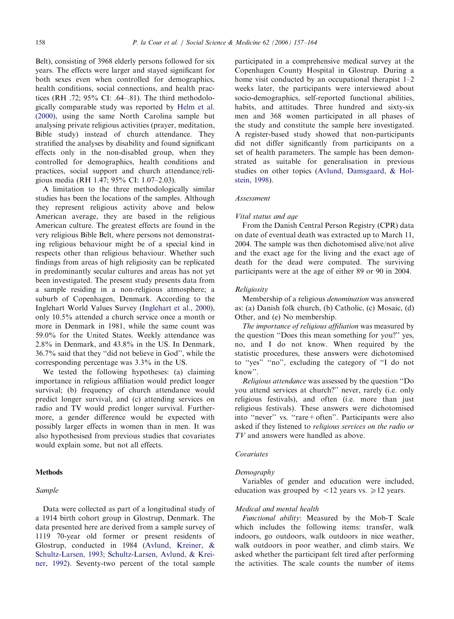Belt), consisting of 3968 elderly persons followed for six years. The effects were larger and stayed significant for both sexes even when controlled for demographics, health conditions, social connections, and health practices (RH .72; 95% CI: .64–.81). The third methodologically comparable study was reported by [Helm et al.](#page-6-0) [\(2000\)](#page-6-0), using the same North Carolina sample but analysing private religious activities (prayer, meditation, Bible study) instead of church attendance. They stratified the analyses by disability and found significant effects only in the non-disabled group, when they controlled for demographics, health conditions and practices, social support and church attendance/religious media (RH 1.47; 95% CI: 1.07–2.03).

A limitation to the three methodologically similar studies has been the locations of the samples. Although they represent religious activity above and below American average, they are based in the religious American culture. The greatest effects are found in the very religious Bible Belt, where persons not demonstrating religious behaviour might be of a special kind in respects other than religious behaviour. Whether such findings from areas of high religiosity can be replicated in predominantly secular cultures and areas has not yet been investigated. The present study presents data from a sample residing in a non-religious atmosphere; a suburb of Copenhagen, Denmark. According to the Inglehart World Values Survey ([Inglehart et al., 2000](#page-6-0)), only 10.5% attended a church service once a month or more in Denmark in 1981, while the same count was 59.0% for the United States. Weekly attendance was 2.8% in Denmark, and 43.8% in the US. In Denmark, 36.7% said that they ''did not believe in God'', while the corresponding percentage was 3.3% in the US.

We tested the following hypotheses: (a) claiming importance in religious affiliation would predict longer survival; (b) frequency of church attendance would predict longer survival, and (c) attending services on radio and TV would predict longer survival. Furthermore, a gender difference would be expected with possibly larger effects in women than in men. It was also hypothesised from previous studies that covariates would explain some, but not all effects.

## Methods

## Sample

Data were collected as part of a longitudinal study of a 1914 birth cohort group in Glostrup, Denmark. The data presented here are derived from a sample survey of 1119 70-year old former or present residents of Glostrup, conducted in 1984 [\(Avlund, Kreiner, &](#page-6-0) [Schultz-Larsen, 1993;](#page-6-0) [Schultz-Larsen, Avlund,](#page-7-0) [& Krei](#page-7-0)[ner, 1992\)](#page-7-0). Seventy-two percent of the total sample participated in a comprehensive medical survey at the Copenhagen County Hospital in Glostrup. During a home visit conducted by an occupational therapist  $1-2$ weeks later, the participants were interviewed about socio-demographics, self-reported functional abilities, habits, and attitudes. Three hundred and sixty-six men and 368 women participated in all phases of the study and constitute the sample here investigated. A register-based study showed that non-participants did not differ significantly from participants on a set of health parameters. The sample has been demonstrated as suitable for generalisation in previous studies on other topics [\(Avlund, Damsgaard, & Hol](#page-6-0)[stein, 1998\)](#page-6-0).

## Assessment

#### Vital status and age

From the Danish Central Person Registry (CPR) data on date of eventual death was extracted up to March 11, 2004. The sample was then dichotomised alive/not alive and the exact age for the living and the exact age of death for the dead were computed. The surviving participants were at the age of either 89 or 90 in 2004.

#### Religiosity

Membership of a religious denomination was answered as: (a) Danish folk church, (b) Catholic, (c) Mosaic, (d) Other, and (e) No membership.

The importance of religious affiliation was measured by the question ''Does this mean something for you?'' yes, no, and I do not know. When required by the statistic procedures, these answers were dichotomised to ''yes'' ''no'', excluding the category of ''I do not know''.

Religious attendance was assessed by the question ''Do you attend services at church?'' never, rarely (i.e. only religious festivals), and often (i.e. more than just religious festivals). These answers were dichotomised into ''never'' vs. ''rare+often''. Participants were also asked if they listened to religious services on the radio or TV and answers were handled as above.

## Covariates

#### **Demography**

Variables of gender and education were included, education was grouped by  $\langle 12 \rangle$  years vs.  $\geq 12$  years.

#### Medical and mental health

Functional ability: Measured by the Mob-T Scale which includes the following items: transfer, walk indoors, go outdoors, walk outdoors in nice weather, walk outdoors in poor weather, and climb stairs. We asked whether the participant felt tired after performing the activities. The scale counts the number of items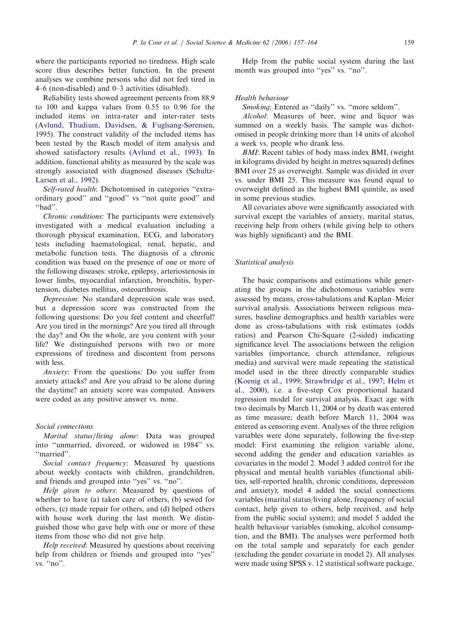where the participants reported no tiredness. High scale score thus describes better function. In the present analyses we combine persons who did not feel tired in 4–6 (non-disabled) and 0–3 activities (disabled).

Reliability tests showed agreement percents from 88.9 to 100 and kappa values from 0.55 to 0.96 for the included items on intra-rater and inter-rater tests ([Avlund, Thudium, Davidsen, & Fuglsang-Sørensen,](#page-6-0) [1995](#page-6-0)). The construct validity of the included items has been tested by the Rasch model of item analysis and showed satisfactory results [\(Avlund et al., 1993\)](#page-6-0). In addition, functional ability as measured by the scale was strongly associated with diagnosed diseases ([Schultz-](#page-7-0)[Larsen et al., 1992](#page-7-0)).

Self-rated health: Dichotomised in categories ''extraordinary good'' and ''good'' vs ''not quite good'' and ''bad''.

Chronic conditions: The participants were extensively investigated with a medical evaluation including a thorough physical examination, ECG, and laboratory tests including haematological, renal, hepatic, and metabolic function tests. The diagnosis of a chronic condition was based on the presence of one or more of the following diseases: stroke, epilepsy, arteriostenosis in lower limbs, myocardial infarction, bronchitis, hypertension, diabetes mellitus, osteoarthrosis.

Depression: No standard depression scale was used, but a depression score was constructed from the following questions: Do you feel content and cheerful? Are you tired in the mornings? Are you tired all through the day? and On the whole, are you content with your life? We distinguished persons with two or more expressions of tiredness and discontent from persons with less.

Anxiety: From the questions: Do you suffer from anxiety attacks? and Are you afraid to be alone during the daytime? an anxiety score was computed. Answers were coded as any positive answer vs. none.

#### Social connections

Marital status/living alone: Data was grouped into ''unmarried, divorced, or widowed in 1984'' vs. ''married''.

Social contact frequency: Measured by questions about weekly contacts with children, grandchildren, and friends and grouped into ''yes'' vs. ''no''.

Help given to others: Measured by questions of whether to have (a) taken care of others, (b) sewed for others, (c) made repair for others, and (d) helped others with house work during the last month. We distinguished those who gave help with one or more of these items from those who did not give help.

Help received: Measured by questions about receiving help from children or friends and grouped into ''yes'' vs. " $no$ ".

Help from the public social system during the last month was grouped into "yes" vs. "no".

## Health behaviour

Smoking: Entered as "daily" vs. "more seldom".

Alcohol: Measures of beer, wine and liquor was summed on a weekly basis. The sample was dichotomised in people drinking more than 14 units of alcohol a week vs. people who drank less.

BMI: Recent tables of body mass index BMI, (weight in kilograms divided by height in metres squared) defines BMI over 25 as overweight. Sample was divided in over vs. under BMI 25. This measure was found equal to overweight defined as the highest BMI quintile, as used in some previous studies.

All covariates above were significantly associated with survival except the variables of anxiety, marital status, receiving help from others (while giving help to others was highly significant) and the BMI.

## Statistical analysis

The basic comparisons and estimations while generating the groups in the dichotomous variables were assessed by means, cross-tabulations and Kaplan–Meier survival analysis. Associations between religious measures, baseline demographics and health variables were done as cross-tabulations with risk estimates (odds ratios) and Pearson Chi-Square (2-sided) indicating significance level. The associations between the religion variables (importance, church attendance, religious media) and survival were made repeating the statistical model used in the three directly comparable studies ([Koenig et al., 1999;](#page-7-0) [Strawbridge et al., 1997](#page-7-0); [Helm et](#page-6-0) [al., 2000](#page-6-0)), i.e. a five-step Cox proportional hazard regression model for survival analysis. Exact age with two decimals by March 11, 2004 or by death was entered as time measure; death before March 11, 2004 was entered as censoring event. Analyses of the three religion variables were done separately, following the five-step model: First examining the religion variable alone, second adding the gender and education variables as covariates in the model 2. Model 3 added control for the physical and mental health variables (functional abilities, self-reported health, chronic conditions, depression and anxiety); model 4 added the social connections variables (marital status/living alone, frequency of social contact, help given to others, help received, and help from the public social system); and model 5 added the health behaviour variables (smoking, alcohol consumption, and the BMI). The analyses were performed both on the total sample and separately for each gender (excluding the gender covariate in model 2). All analyses were made using SPSS v. 12 statistical software package.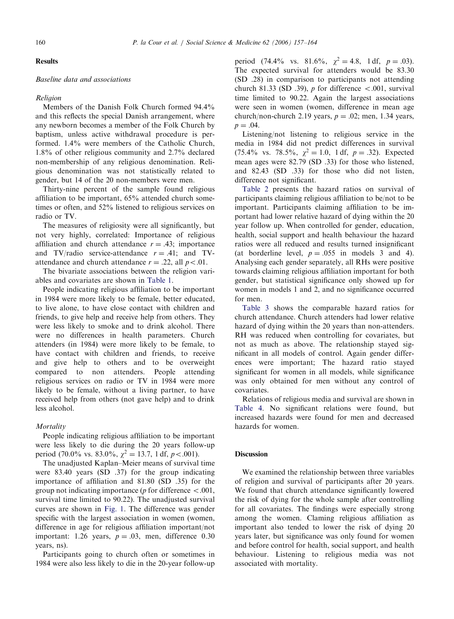## **Results**

## Baseline data and associations

#### Religion

Members of the Danish Folk Church formed 94.4% and this reflects the special Danish arrangement, where any newborn becomes a member of the Folk Church by baptism, unless active withdrawal procedure is performed. 1.4% were members of the Catholic Church, 1.8% of other religious community and 2.7% declared non-membership of any religious denomination. Religious denomination was not statistically related to gender, but 14 of the 20 non-members were men.

Thirty-nine percent of the sample found religious affiliation to be important, 65% attended church sometimes or often, and 52% listened to religious services on radio or TV.

The measures of religiosity were all significantly, but not very highly, correlated: Importance of religious affiliation and church attendance  $r = .43$ ; importance and TV/radio service-attendance  $r = .41$ ; and TVattendance and church attendance  $r = .22$ , all  $p < .01$ .

The bivariate associations between the religion variables and covariates are shown in [Table 1.](#page-4-0)

People indicating religious affiliation to be important in 1984 were more likely to be female, better educated, to live alone, to have close contact with children and friends, to give help and receive help from others. They were less likely to smoke and to drink alcohol. There were no differences in health parameters. Church attenders (in 1984) were more likely to be female, to have contact with children and friends, to receive and give help to others and to be overweight compared to non attenders. People attending religious services on radio or TV in 1984 were more likely to be female, without a living partner, to have received help from others (not gave help) and to drink less alcohol.

## **Mortality**

People indicating religious affiliation to be important were less likely to die during the 20 years follow-up period (70.0% vs. 83.0%,  $\chi^2 = 13.7$ , 1 df, p < .001).

The unadjusted Kaplan–Meier means of survival time were 83.40 years (SD .37) for the group indicating importance of affiliation and 81.80 (SD .35) for the group not indicating importance ( $p$  for difference  $< .001$ , survival time limited to 90.22). The unadjusted survival curves are shown in [Fig. 1.](#page-5-0) The difference was gender specific with the largest association in women (women, difference in age for religious affiliation important/not important: 1.26 years,  $p = .03$ , men, difference 0.30 years, ns).

Participants going to church often or sometimes in 1984 were also less likely to die in the 20-year follow-up period (74.4% vs. 81.6%,  $\chi^2 = 4.8$ , 1 df,  $p = .03$ ). The expected survival for attenders would be 83.30 (SD .28) in comparison to participants not attending church 81.33 (SD .39), p for difference  $< .001$ , survival time limited to 90.22. Again the largest associations were seen in women (women, difference in mean age church/non-church 2.19 years,  $p = .02$ ; men, 1.34 years,  $p = .04$ .

Listening/not listening to religious service in the media in 1984 did not predict differences in survival (75.4% vs. 78.5%,  $\chi^2 = 1.0$ , 1 df,  $p = .32$ ). Expected mean ages were 82.79 (SD .33) for those who listened, and 82.43 (SD .33) for those who did not listen, difference not significant.

[Table 2](#page-5-0) presents the hazard ratios on survival of participants claiming religious affiliation to be/not to be important. Participants claiming affiliation to be important had lower relative hazard of dying within the 20 year follow up. When controlled for gender, education, health, social support and health behaviour the hazard ratios were all reduced and results turned insignificant (at borderline level,  $p = .055$  in models 3 and 4). Analysing each gender separately, all RHs were positive towards claiming religious affiliation important for both gender, but statistical significance only showed up for women in models 1 and 2, and no significance occurred for men.

[Table 3](#page-5-0) shows the comparable hazard ratios for church attendance. Church attenders had lower relative hazard of dying within the 20 years than non-attenders. RH was reduced when controlling for covariates, but not as much as above. The relationship stayed significant in all models of control. Again gender differences were important; The hazard ratio stayed significant for women in all models, while significance was only obtained for men without any control of covariates.

Relations of religious media and survival are shown in [Table 4](#page-6-0). No significant relations were found, but increased hazards were found for men and decreased hazards for women.

## **Discussion**

We examined the relationship between three variables of religion and survival of participants after 20 years. We found that church attendance significantly lowered the risk of dying for the whole sample after controlling for all covariates. The findings were especially strong among the women. Claming religious affiliation as important also tended to lower the risk of dying 20 years later, but significance was only found for women and before control for health, social support, and health behaviour. Listening to religious media was not associated with mortality.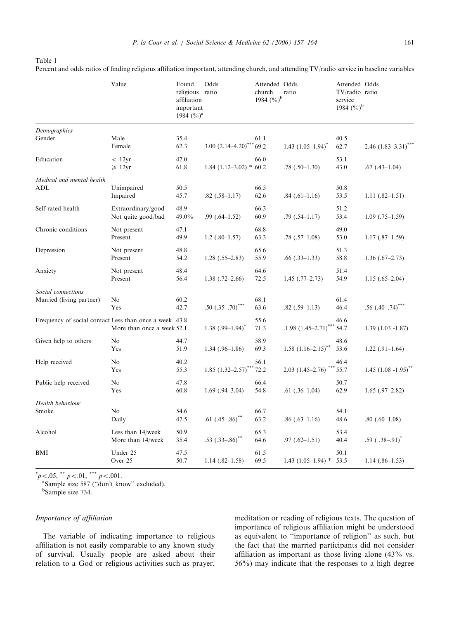<span id="page-4-0"></span>Table 1

Percent and odds ratios of finding religious affiliation important, attending church, and attending TV/radio service in baseline variables

|                                                        | Value                                    | Found<br>religious ratio<br>affiliation<br>important<br>1984 $(\frac{6}{6})^a$ | Odds                             | Attended Odds<br>church<br>1984 $(\frac{6}{6})^b$ | ratio                                | Attended Odds<br>TV/radio ratio<br>service<br>1984 $(\%)^b$ |                                   |
|--------------------------------------------------------|------------------------------------------|--------------------------------------------------------------------------------|----------------------------------|---------------------------------------------------|--------------------------------------|-------------------------------------------------------------|-----------------------------------|
| Demographics                                           |                                          |                                                                                |                                  |                                                   |                                      |                                                             |                                   |
| Gender                                                 | Male<br>Female                           | 35.4<br>62.3                                                                   | $3.00 (2.14 - 4.20)^{***}$       | 61.1<br>69.2                                      | $1.43$ $(1.05-1.94)^{*}$             | 40.5<br>62.7                                                | $2.46$ $(1.83 - 3.31)$            |
| Education                                              | < 12yr<br>$\geqslant$ 12yr               | 47.0<br>61.8                                                                   | $1.84$ (1.12–3.02) * 60.2        | 66.0                                              | $.78(.50-1.30)$                      | 53.1<br>43.0                                                | $.67$ $(.43-1.04)$                |
| Medical and mental health                              |                                          |                                                                                |                                  |                                                   |                                      |                                                             |                                   |
| ADL                                                    | Unimpaired                               | 50.5                                                                           |                                  | 66.5                                              |                                      | 50.8                                                        |                                   |
|                                                        | Impaired                                 | 45.7                                                                           | $.82(.58-1.17)$                  | 62.6                                              | $.84(.61-1.16)$                      | 53.5                                                        | $1.11(.82-1.51)$                  |
| Self-rated health                                      | Extraordinary/good<br>Not quite good/bad | 48.9<br>49.0%                                                                  | $.99$ $(.64-1.52)$               | 66.3<br>60.9                                      | $.79(.54-1.17)$                      | 51.2<br>53.4                                                | $1.09$ (.75–1.59)                 |
| Chronic conditions                                     | Not present                              | 47.1                                                                           |                                  | 68.8                                              |                                      | 49.0                                                        |                                   |
|                                                        | Present                                  | 49.9                                                                           | $1.2$ (.80-1.57)                 | 63.3                                              | $.78(.57-1.08)$                      | 53.0                                                        | $1.17(.87-1.59)$                  |
| Depression                                             | Not present<br>Present                   | 48.8<br>54.2                                                                   | $1.28$ $(.55-2.83)$              | 65.6<br>55.9                                      | $.66(.33-1.33)$                      | 51.3<br>58.8                                                | $1.36(.67-2.73)$                  |
| Anxiety                                                | Not present<br>Present                   | 48.4<br>56.4                                                                   | $1.38$ $(.72 - 2.66)$            | 64.6<br>72.5                                      | $1.45$ (.77-2.73)                    | 51.4<br>54.9                                                | $1.15(.65-2.04)$                  |
| Social connections                                     |                                          |                                                                                |                                  |                                                   |                                      |                                                             |                                   |
| Married (living partner)                               | N <sub>o</sub><br>Yes                    | 60.2<br>42.7                                                                   | .50 $\left(.35-.70\right)^{***}$ | 68.1<br>63.6                                      | $.82(.59-1.13)$                      | 61.4<br>46.4                                                | $.56$ (.40 - .74) <sup>****</sup> |
| Frequency of social contact Less than once a week 43.8 | More than once a week 52.1               |                                                                                | $1.38$ $(.99-1.94)^*$            | 55.6<br>71.3                                      | $.1.98$ $(1.45-2.71)$ <sup>***</sup> | 46.6<br>54.7                                                | $1.39(1.03 - 1.87)$               |
| Given help to others                                   | N <sub>o</sub><br>Yes                    | 44.7<br>51.9                                                                   | $1.34(.96-1.86)$                 | 58.9<br>69.3                                      | $1.58$ $(1.16-2.15)^{**}$            | 48.6<br>53.6                                                | $1.22$ (.91-1.64)                 |
| Help received                                          | N <sub>o</sub><br>Yes                    | 40.2<br>55.3                                                                   | $1.85$ $(1.32 - 2.57)^{3}$       | 56.1<br>72.2                                      | $2.03(1.45-2.76)$ <sup>**</sup>      | 46.4<br>55.7                                                | $1.45$ (1.08 -1.95) <sup>**</sup> |
| Public help received                                   | N <sub>o</sub><br>Yes                    | 47.8<br>60.8                                                                   | $1.69$ (.94–3.04)                | 66.4<br>54.8                                      | $.61(.36-1.04)$                      | 50.7<br>62.9                                                | $1.65$ (.97-2.82)                 |
| Health behaviour                                       |                                          |                                                                                |                                  |                                                   |                                      |                                                             |                                   |
| Smoke                                                  | N <sub>o</sub><br>Daily                  | 54.6<br>42.5                                                                   | $.61$ $(.45-.86)$ <sup>**</sup>  | 66.7<br>63.2                                      | $.86(.63-1.16)$                      | 54.1<br>48.6                                                | $.80(.60-1.08)$                   |
| Alcohol                                                | Less than 14/week<br>More than 14/week   | 50.9<br>35.4                                                                   | $.53$ $(.33 - .86)^{4}$          | 65.3<br>64.6                                      | $.97(.62 - 1.51)$                    | 53.4<br>40.4                                                | $.59$ ( $.38-.91$ ) <sup>*</sup>  |
| BMI                                                    | Under 25<br>Over 25                      | 47.5<br>50.7                                                                   | $1.14(.82-1.58)$                 | 61.5<br>69.5                                      | 1.43 $(1.05-1.94)$ *                 | 50.1<br>53.5                                                | $1.14(.86-1.53)$                  |

 $p < .05$ , \*\*  $p < .01$ , \*\*\*  $p < .001$ .<br>asample size 587 ("don't kn

Sample size 587 (''don't know'' excluded).

b Sample size 734.

#### Importance of affiliation

The variable of indicating importance to religious affiliation is not easily comparable to any known study of survival. Usually people are asked about their relation to a God or religious activities such as prayer, meditation or reading of religious texts. The question of importance of religious affiliation might be understood as equivalent to ''importance of religion'' as such, but the fact that the married participants did not consider affiliation as important as those living alone (43% vs. 56%) may indicate that the responses to a high degree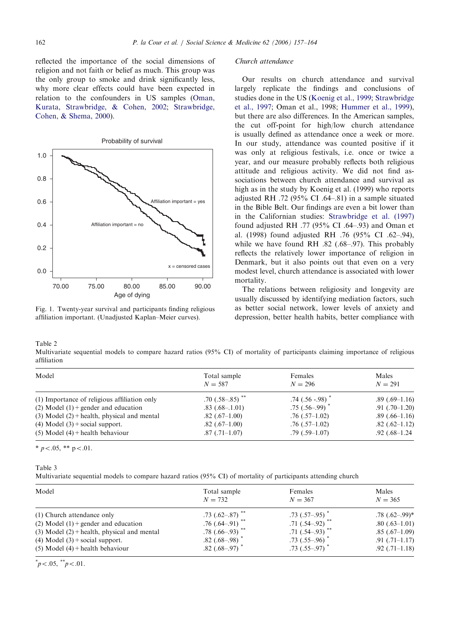<span id="page-5-0"></span>reflected the importance of the social dimensions of religion and not faith or belief as much. This group was the only group to smoke and drink significantly less, why more clear effects could have been expected in relation to the confounders in US samples ([Oman,](#page-7-0) [Kurata, Strawbridge, & Cohen, 2002;](#page-7-0) [Strawbridge,](#page-7-0) [Cohen,](#page-7-0) [& Shema, 2000](#page-7-0)).



Fig. 1. Twenty-year survival and participants finding religious affiliation important. (Unadjusted Kaplan–Meier curves).

#### Church attendance

Our results on church attendance and survival largely replicate the findings and conclusions of studies done in the US [\(Koenig et al., 1999](#page-7-0); [Strawbridge](#page-7-0) [et al., 1997;](#page-7-0) Oman et al., 1998; [Hummer et al., 1999](#page-6-0)), but there are also differences. In the American samples, the cut off-point for high/low church attendance is usually defined as attendance once a week or more. In our study, attendance was counted positive if it was only at religious festivals, i.e. once or twice a year, and our measure probably reflects both religious attitude and religious activity. We did not find associations between church attendance and survival as high as in the study by Koenig et al. (1999) who reports adjusted RH .72 (95% CI .64–.81) in a sample situated in the Bible Belt. Our findings are even a bit lower than in the Californian studies: [Strawbridge et al. \(1997\)](#page-7-0) found adjusted RH .77 (95% CI .64–.93) and Oman et al. (1998) found adjusted RH .76 (95% CI .62–.94), while we have found RH .82 (.68–.97). This probably reflects the relatively lower importance of religion in Denmark, but it also points out that even on a very modest level, church attendance is associated with lower mortality.

The relations between religiosity and longevity are usually discussed by identifying mediation factors, such as better social network, lower levels of anxiety and depression, better health habits, better compliance with

Table 2

Multivariate sequential models to compare hazard ratios (95% CI) of mortality of participants claiming importance of religious affiliation

| Model                                           | Total sample<br>$N = 587$      | Females<br>$N = 296$           | Males<br>$N = 291$ |
|-------------------------------------------------|--------------------------------|--------------------------------|--------------------|
| (1) Importance of religious affiliation only    | $.70(.58 - .85)$ <sup>**</sup> | $.74$ (.56 - .98) <sup>*</sup> | $.89(.69-1.16)$    |
| (2) Model $(1)$ + gender and education          | $.83(.68-.1.01)$               | $.75(.56-99)$                  | $.91(.70-1.20)$    |
| $(3)$ Model $(2)$ + health, physical and mental | $.82$ (.67-1.00)               | $.76(.57-1.02)$                | $.89(.66-1.16)$    |
| (4) Model $(3)$ + social support.               | $.82$ (.67-1.00)               | $.76(.57-1.02)$                | $.82(.62-1.12)$    |
| $(5)$ Model $(4)$ + health behaviour            | $.87$ (.71–1.07)               | $.79(.59-1.07)$                | $.92$ (.68–1.24)   |

 $* p < .05, ** p < .01.$ 

Table 3

Multivariate sequential models to compare hazard ratios (95% CI) of mortality of participants attending church

| Model                                           | Total sample<br>$N = 732$     | Females<br>$N = 367$         | Males<br>$N = 365$ |
|-------------------------------------------------|-------------------------------|------------------------------|--------------------|
| (1) Church attendance only                      | $.73$ (.62–.87) <sup>**</sup> | $.73$ (.57-.95) <sup>*</sup> | $.78(.62-.99)$ *   |
| (2) Model $(1)$ + gender and education          | $.76(.64-91)$                 | $.71(.54-.92)$               | $.80(.63-1.01)$    |
| $(3)$ Model $(2)$ + health, physical and mental | $.78(.66-.93)$ **             | $.71$ (.54–.93)              | $.85(.67-1.09)$    |
| (4) Model $(3)$ + social support.               | $.82$ (.68-.98)               | $.73$ $(.55 - .96)$          | $.91(.71-1.17)$    |
| $(5)$ Model $(4)$ + health behaviour            | $.82(.68-.97)$                | $.73(.55-.97)$               | $.92(.71-1.18)$    |

 $\mu^* p < .05, \mu^* p < .01.$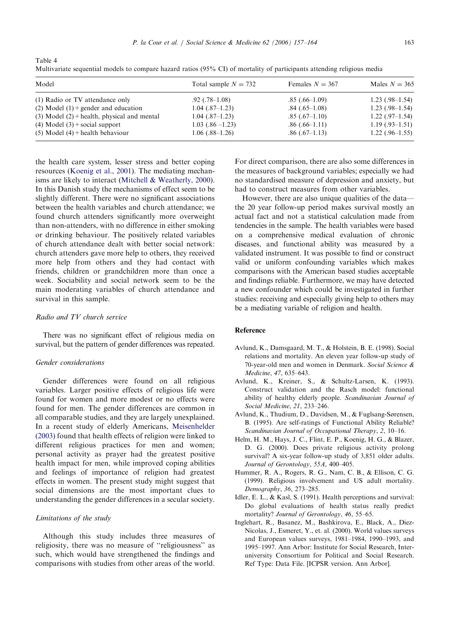<span id="page-6-0"></span>Table 4 Multivariate sequential models to compare hazard ratios (95% CI) of mortality of participants attending religious media

| Model                                           | Total sample $N = 732$ | Females $N = 367$ | Males $N = 365$   |  |
|-------------------------------------------------|------------------------|-------------------|-------------------|--|
| (1) Radio or TV attendance only                 | $.92$ (.78–1.08)       | $.85(.66-1.09)$   | $1.23$ (.98–1.54) |  |
| (2) Model $(1)$ + gender and education          | $1.04(.87-1.23)$       | $.84(.65-1.08)$   | $1.23$ (.98–1.54) |  |
| $(3)$ Model $(2)$ + health, physical and mental | $1.04(.87-1.23)$       | $.85(.67-1.10)$   | $1.22$ (.97-1.54) |  |
| $(4)$ Model $(3)$ + social support              | $1.03(.86 - 1.23)$     | $.86(.66-1.11)$   | $1.19(.93-1.51)$  |  |
| $(5)$ Model $(4)$ + health behaviour            | $1.06$ $(.88-1.26)$    | $.86(.67-1.13)$   | $1.22$ (.96–1.55) |  |

the health care system, lesser stress and better coping resources ([Koenig et al., 2001\)](#page-7-0). The mediating mechanisms are likely to interact [\(Mitchell](#page-7-0) & [Weatherly, 2000](#page-7-0)). In this Danish study the mechanisms of effect seem to be slightly different. There were no significant associations between the health variables and church attendance; we found church attenders significantly more overweight than non-attenders, with no difference in either smoking or drinking behaviour. The positively related variables of church attendance dealt with better social network: church attenders gave more help to others, they received more help from others and they had contact with friends, children or grandchildren more than once a week. Sociability and social network seem to be the main moderating variables of church attendance and survival in this sample.

# Radio and TV church service

There was no significant effect of religious media on survival, but the pattern of gender differences was repeated.

#### Gender considerations

Gender differences were found on all religious variables. Larger positive effects of religious life were found for women and more modest or no effects were found for men. The gender differences are common in all comparable studies, and they are largely unexplained. In a recent study of elderly Americans, [Meisenhelder](#page-7-0) [\(2003\)](#page-7-0) found that health effects of religion were linked to different religious practices for men and women; personal activity as prayer had the greatest positive health impact for men, while improved coping abilities and feelings of importance of religion had greatest effects in women. The present study might suggest that social dimensions are the most important clues to understanding the gender differences in a secular society.

## Limitations of the study

Although this study includes three measures of religiosity, there was no measure of ''religiousness'' as such, which would have strengthened the findings and comparisons with studies from other areas of the world.

For direct comparison, there are also some differences in the measures of background variables; especially we had no standardised measure of depression and anxiety, but had to construct measures from other variables.

However, there are also unique qualities of the data the 20 year follow-up period makes survival mostly an actual fact and not a statistical calculation made from tendencies in the sample. The health variables were based on a comprehensive medical evaluation of chronic diseases, and functional ability was measured by a validated instrument. It was possible to find or construct valid or uniform confounding variables which makes comparisons with the American based studies acceptable and findings reliable. Furthermore, we may have detected a new confounder which could be investigated in further studies: receiving and especially giving help to others may be a mediating variable of religion and health.

#### Reference

- Avlund, K., Damsgaard, M. T., & Holstein, B. E. (1998). Social relations and mortality. An eleven year follow-up study of 70-year-old men and women in Denmark. Social Science & Medicine, 47, 635–643.
- Avlund, K., Kreiner, S., & Schultz-Larsen, K. (1993). Construct validation and the Rasch model: functional ability of healthy elderly people. Scandinavian Journal of Social Medicine, 21, 233–246.
- Avlund, K., Thudium, D., Davidsen, M., & Fuglsang-Sørensen, B. (1995). Are self-ratings of Functional Ability Reliable? Scandinavian Journal of Occupational Therapy, 2, 10–16.
- Helm, H. M., Hays, J. C., Flint, E. P., Koenig, H. G., & Blazer, D. G. (2000). Does private religious activity prolong survival? A six-year follow-up study of 3,851 older adults. Journal of Gerontology, 55A, 400–405.
- Hummer, R. A., Rogers, R. G., Nam, C. B., & Ellison, C. G. (1999). Religious involvement and US adult mortality. Demography, 36, 273–285.
- Idler, E. L., & Kasl, S. (1991). Health perceptions and survival: Do global evaluations of health status really predict mortality? Journal of Gerontology, 46, 55–65.
- Inglehart, R., Basanez, M., Bashkirova, E., Black, A., Diez-Nicolas, J., Esmeret, Y., et. al. (2000). World values surveys and European values surveys, 1981–1984, 1990–1993, and 1995–1997. Ann Arbor: Institute for Social Research, Interuniversity Consortium for Political and Social Research. Ref Type: Data File. [ICPSR version. Ann Arbor].